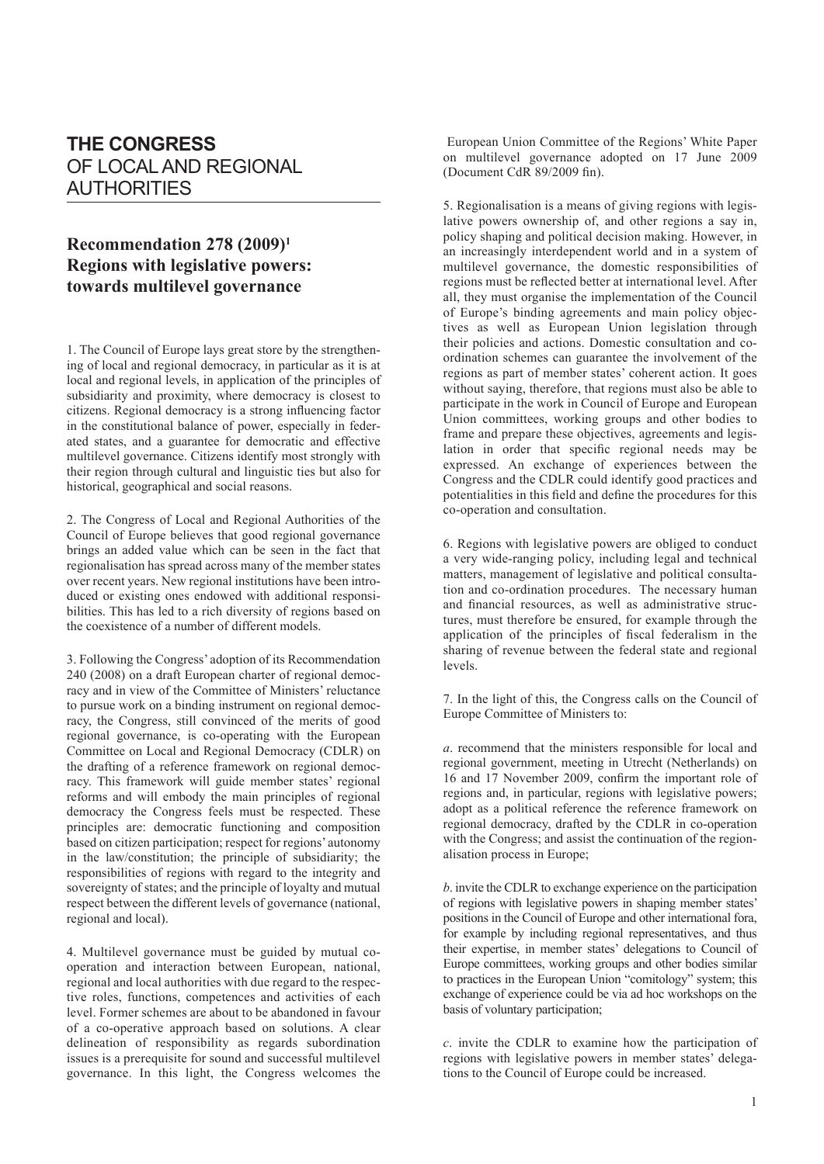## **THE CONGRESS** OF LOCAL AND REGIONAL AUTHORITIES

## **Recommendation 278 (2009)1 Regions with legislative powers: towards multilevel governance**

1. The Council of Europe lays great store by the strengthening of local and regional democracy, in particular as it is at local and regional levels, in application of the principles of subsidiarity and proximity, where democracy is closest to citizens. Regional democracy is a strong influencing factor in the constitutional balance of power, especially in federated states, and a guarantee for democratic and effective multilevel governance. Citizens identify most strongly with their region through cultural and linguistic ties but also for historical, geographical and social reasons.

2. The Congress of Local and Regional Authorities of the Council of Europe believes that good regional governance brings an added value which can be seen in the fact that regionalisation has spread across many of the member states over recent years. New regional institutions have been introduced or existing ones endowed with additional responsibilities. This has led to a rich diversity of regions based on the coexistence of a number of different models.

3. Following the Congress' adoption of its Recommendation 240 (2008) on a draft European charter of regional democracy and in view of the Committee of Ministers' reluctance to pursue work on a binding instrument on regional democracy, the Congress, still convinced of the merits of good regional governance, is co-operating with the European Committee on Local and Regional Democracy (CDLR) on the drafting of a reference framework on regional democracy. This framework will guide member states' regional reforms and will embody the main principles of regional democracy the Congress feels must be respected. These principles are: democratic functioning and composition based on citizen participation; respect for regions' autonomy in the law/constitution; the principle of subsidiarity; the responsibilities of regions with regard to the integrity and sovereignty of states; and the principle of loyalty and mutual respect between the different levels of governance (national, regional and local).

4. Multilevel governance must be guided by mutual cooperation and interaction between European, national, regional and local authorities with due regard to the respective roles, functions, competences and activities of each level. Former schemes are about to be abandoned in favour of a co-operative approach based on solutions. A clear delineation of responsibility as regards subordination issues is a prerequisite for sound and successful multilevel governance. In this light, the Congress welcomes the

 European Union Committee of the Regions' White Paper on multilevel governance adopted on 17 June 2009 (Document CdR 89/2009 fin).

5. Regionalisation is a means of giving regions with legislative powers ownership of, and other regions a say in, policy shaping and political decision making. However, in an increasingly interdependent world and in a system of multilevel governance, the domestic responsibilities of regions must be reflected better at international level. After all, they must organise the implementation of the Council of Europe's binding agreements and main policy objectives as well as European Union legislation through their policies and actions. Domestic consultation and coordination schemes can guarantee the involvement of the regions as part of member states' coherent action. It goes without saying, therefore, that regions must also be able to participate in the work in Council of Europe and European Union committees, working groups and other bodies to frame and prepare these objectives, agreements and legislation in order that specific regional needs may be expressed. An exchange of experiences between the Congress and the CDLR could identify good practices and potentialities in this field and define the procedures for this co-operation and consultation.

6. Regions with legislative powers are obliged to conduct a very wide-ranging policy, including legal and technical matters, management of legislative and political consultation and co-ordination procedures. The necessary human and financial resources, as well as administrative structures, must therefore be ensured, for example through the application of the principles of fiscal federalism in the sharing of revenue between the federal state and regional levels.

7. In the light of this, the Congress calls on the Council of Europe Committee of Ministers to:

*a*. recommend that the ministers responsible for local and regional government, meeting in Utrecht (Netherlands) on 16 and 17 November 2009, confirm the important role of regions and, in particular, regions with legislative powers; adopt as a political reference the reference framework on regional democracy, drafted by the CDLR in co-operation with the Congress; and assist the continuation of the regionalisation process in Europe;

*b*. invite the CDLR to exchange experience on the participation of regions with legislative powers in shaping member states' positions in the Council of Europe and other international fora, for example by including regional representatives, and thus their expertise, in member states' delegations to Council of Europe committees, working groups and other bodies similar to practices in the European Union "comitology" system; this exchange of experience could be via ad hoc workshops on the basis of voluntary participation;

*c*. invite the CDLR to examine how the participation of regions with legislative powers in member states' delegations to the Council of Europe could be increased.